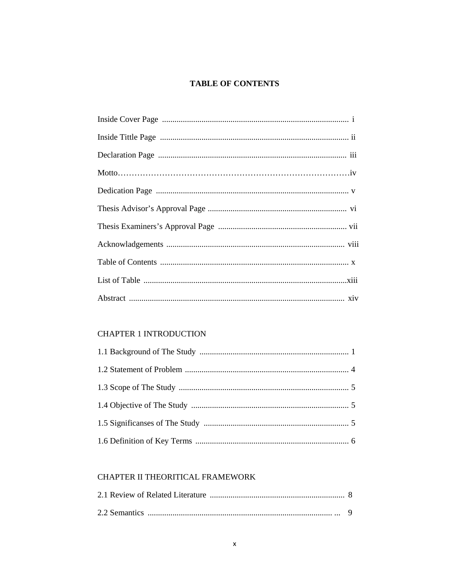## **TABLE OF CONTENTS**

# **CHAPTER 1 INTRODUCTION**

# CHAPTER II THEORITICAL FRAMEWORK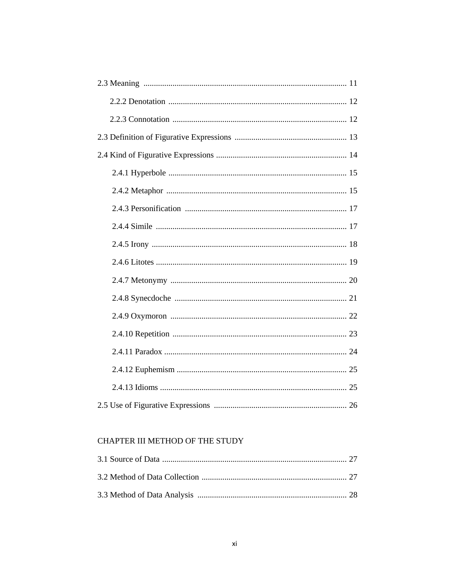## CHAPTER III METHOD OF THE STUDY